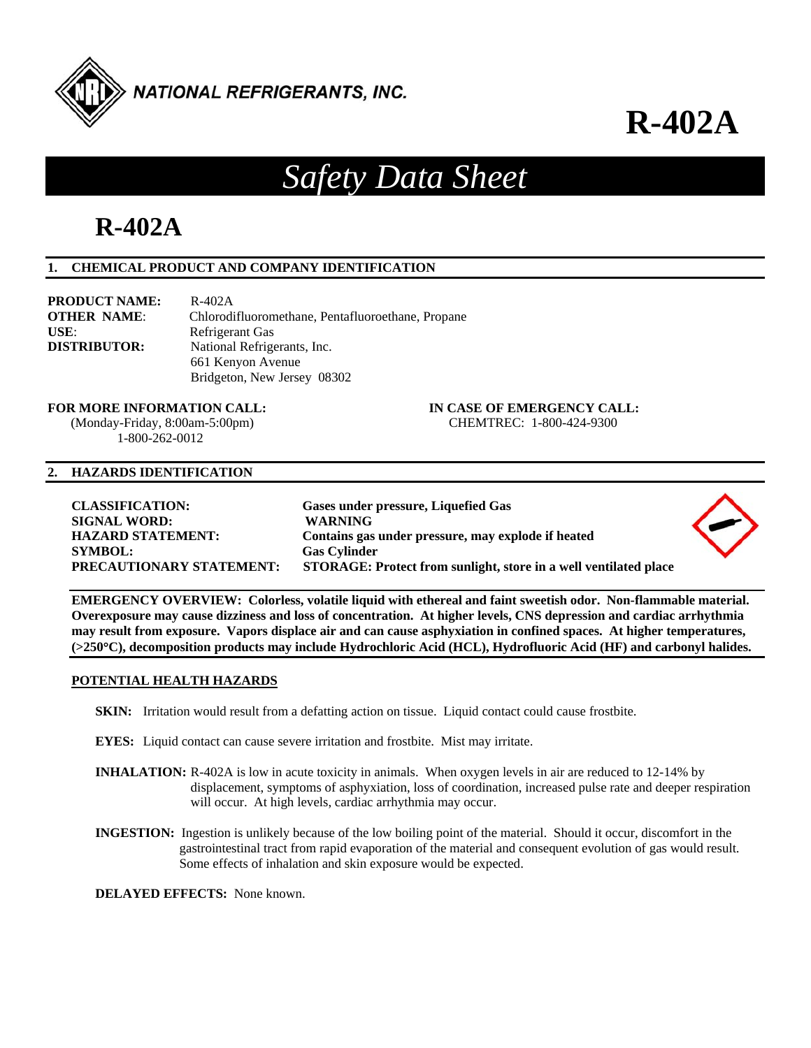

**R-402A**

# *Safety Data Sheet*

# **R-402A**

# **1. CHEMICAL PRODUCT AND COMPANY IDENTIFICATION**

| <b>PRODUCT NAME:</b> | $R-402A$                                          |
|----------------------|---------------------------------------------------|
| <b>OTHER NAME:</b>   | Chlorodifluoromethane, Pentafluoroethane, Propane |
| USE:                 | Refrigerant Gas                                   |
| <b>DISTRIBUTOR:</b>  | National Refrigerants, Inc.                       |
|                      | 661 Kenyon Avenue                                 |
|                      | Bridgeton, New Jersey 08302                       |

**FOR MORE INFORMATION CALL: IN CASE OF EMERGENCY CALL:** 

 (Monday-Friday, 8:00am-5:00pm) CHEMTREC: 1-800-424-9300 1-800-262-0012

### **2. HAZARDS IDENTIFICATION**

| <b>CLASSIFICATION:</b><br><b>SIGNAL WORD:</b><br><b>HAZARD STATEMENT:</b><br><b>SYMBOL:</b><br>PRECAUTIONARY STATEMENT: | Gases under pressure, Liquefied Gas<br><b>WARNING</b><br>Contains gas under pressure, may explode if heated<br><b>Gas Cylinder</b><br>STORAGE: Protect from sunlight, store in a well ventilated place |  |
|-------------------------------------------------------------------------------------------------------------------------|--------------------------------------------------------------------------------------------------------------------------------------------------------------------------------------------------------|--|
|                                                                                                                         |                                                                                                                                                                                                        |  |

**EMERGENCY OVERVIEW: Colorless, volatile liquid with ethereal and faint sweetish odor. Non-flammable material. Overexposure may cause dizziness and loss of concentration. At higher levels, CNS depression and cardiac arrhythmia may result from exposure. Vapors displace air and can cause asphyxiation in confined spaces. At higher temperatures, (>250C), decomposition products may include Hydrochloric Acid (HCL), Hydrofluoric Acid (HF) and carbonyl halides.** 

# **POTENTIAL HEALTH HAZARDS**

- **SKIN:** Irritation would result from a defatting action on tissue. Liquid contact could cause frostbite.
- **EYES:** Liquid contact can cause severe irritation and frostbite. Mist may irritate.
- **INHALATION:** R-402A is low in acute toxicity in animals. When oxygen levels in air are reduced to 12-14% by displacement, symptoms of asphyxiation, loss of coordination, increased pulse rate and deeper respiration will occur. At high levels, cardiac arrhythmia may occur.
- **INGESTION:** Ingestion is unlikely because of the low boiling point of the material. Should it occur, discomfort in the gastrointestinal tract from rapid evaporation of the material and consequent evolution of gas would result. Some effects of inhalation and skin exposure would be expected.

**DELAYED EFFECTS:** None known.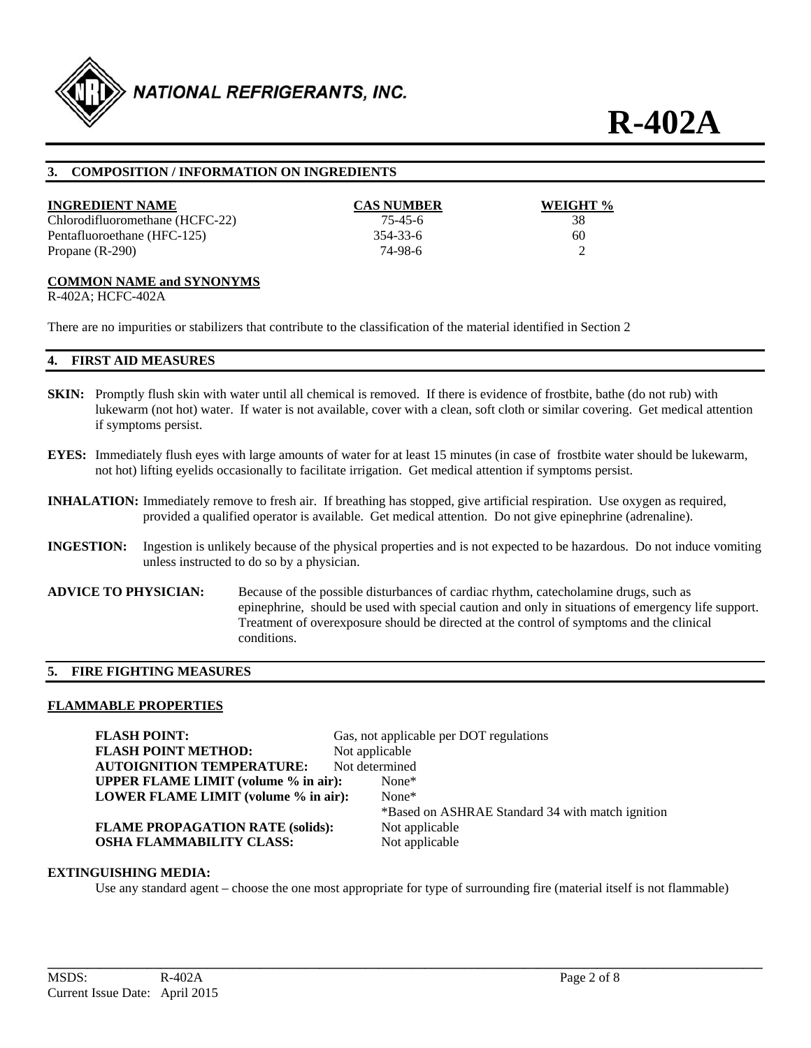

**R-402A**

# **3. COMPOSITION / INFORMATION ON INGREDIENTS**

| <b>INGREDIENT NAME</b>          | <b>CAS NUMBER</b> | WEIGHT % |
|---------------------------------|-------------------|----------|
| Chlorodifluoromethane (HCFC-22) | 75-45-6           | 38       |
| Pentafluoroethane (HFC-125)     | 354-33-6          | 60       |
| Propane $(R-290)$               | 74-98-6           |          |

#### **COMMON NAME and SYNONYMS**

R-402A; HCFC-402A

There are no impurities or stabilizers that contribute to the classification of the material identified in Section 2

#### **4. FIRST AID MEASURES**

- **SKIN:** Promptly flush skin with water until all chemical is removed. If there is evidence of frostbite, bathe (do not rub) with lukewarm (not hot) water. If water is not available, cover with a clean, soft cloth or similar covering. Get medical attention if symptoms persist.
- **EYES:** Immediately flush eyes with large amounts of water for at least 15 minutes (in case of frostbite water should be lukewarm, not hot) lifting eyelids occasionally to facilitate irrigation. Get medical attention if symptoms persist.
- **INHALATION:** Immediately remove to fresh air. If breathing has stopped, give artificial respiration. Use oxygen as required, provided a qualified operator is available. Get medical attention. Do not give epinephrine (adrenaline).
- **INGESTION:** Ingestion is unlikely because of the physical properties and is not expected to be hazardous. Do not induce vomiting unless instructed to do so by a physician.
- **ADVICE TO PHYSICIAN:** Because of the possible disturbances of cardiac rhythm, catecholamine drugs, such as epinephrine, should be used with special caution and only in situations of emergency life support. Treatment of overexposure should be directed at the control of symptoms and the clinical conditions.

# **5. FIRE FIGHTING MEASURES**

#### **FLAMMABLE PROPERTIES**

**FLASH POINT:** Gas, not applicable per DOT regulations **FLASH POINT METHOD:** Not applicable **AUTOIGNITION TEMPERATURE:** Not determined **UPPER FLAME LIMIT (volume % in air):** None\* **LOWER FLAME LIMIT (volume % in air):** None\* \*Based on ASHRAE Standard 34 with match ignition **FLAME PROPAGATION RATE (solids):** Not applicable **OSHA FLAMMABILITY CLASS:** Not applicable

#### **EXTINGUISHING MEDIA:**

Use any standard agent – choose the one most appropriate for type of surrounding fire (material itself is not flammable)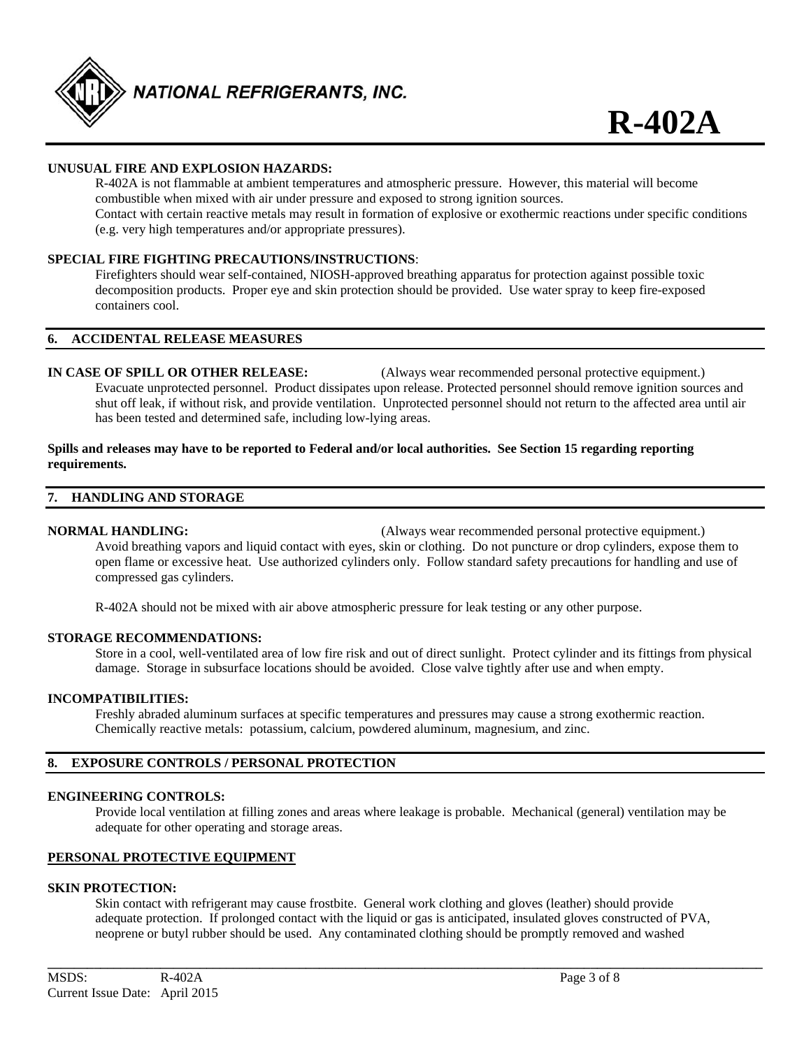

# **UNUSUAL FIRE AND EXPLOSION HAZARDS:**

 R-402A is not flammable at ambient temperatures and atmospheric pressure. However, this material will become combustible when mixed with air under pressure and exposed to strong ignition sources. Contact with certain reactive metals may result in formation of explosive or exothermic reactions under specific conditions (e.g. very high temperatures and/or appropriate pressures).

# **SPECIAL FIRE FIGHTING PRECAUTIONS/INSTRUCTIONS**:

 Firefighters should wear self-contained, NIOSH-approved breathing apparatus for protection against possible toxic decomposition products. Proper eye and skin protection should be provided. Use water spray to keep fire-exposed containers cool.

#### **6. ACCIDENTAL RELEASE MEASURES**

**IN CASE OF SPILL OR OTHER RELEASE:** (Always wear recommended personal protective equipment.) Evacuate unprotected personnel. Product dissipates upon release. Protected personnel should remove ignition sources and shut off leak, if without risk, and provide ventilation. Unprotected personnel should not return to the affected area until air has been tested and determined safe, including low-lying areas.

#### **Spills and releases may have to be reported to Federal and/or local authorities. See Section 15 regarding reporting requirements.**

#### **7. HANDLING AND STORAGE**

**NORMAL HANDLING:** (Always wear recommended personal protective equipment.) Avoid breathing vapors and liquid contact with eyes, skin or clothing. Do not puncture or drop cylinders, expose them to open flame or excessive heat. Use authorized cylinders only. Follow standard safety precautions for handling and use of compressed gas cylinders.

R-402A should not be mixed with air above atmospheric pressure for leak testing or any other purpose.

#### **STORAGE RECOMMENDATIONS:**

 Store in a cool, well-ventilated area of low fire risk and out of direct sunlight. Protect cylinder and its fittings from physical damage. Storage in subsurface locations should be avoided. Close valve tightly after use and when empty.

# **INCOMPATIBILITIES:**

Freshly abraded aluminum surfaces at specific temperatures and pressures may cause a strong exothermic reaction. Chemically reactive metals: potassium, calcium, powdered aluminum, magnesium, and zinc.

### **8. EXPOSURE CONTROLS / PERSONAL PROTECTION**

#### **ENGINEERING CONTROLS:**

 Provide local ventilation at filling zones and areas where leakage is probable. Mechanical (general) ventilation may be adequate for other operating and storage areas.

# **PERSONAL PROTECTIVE EQUIPMENT**

#### **SKIN PROTECTION:**

 Skin contact with refrigerant may cause frostbite. General work clothing and gloves (leather) should provide adequate protection. If prolonged contact with the liquid or gas is anticipated, insulated gloves constructed of PVA, neoprene or butyl rubber should be used. Any contaminated clothing should be promptly removed and washed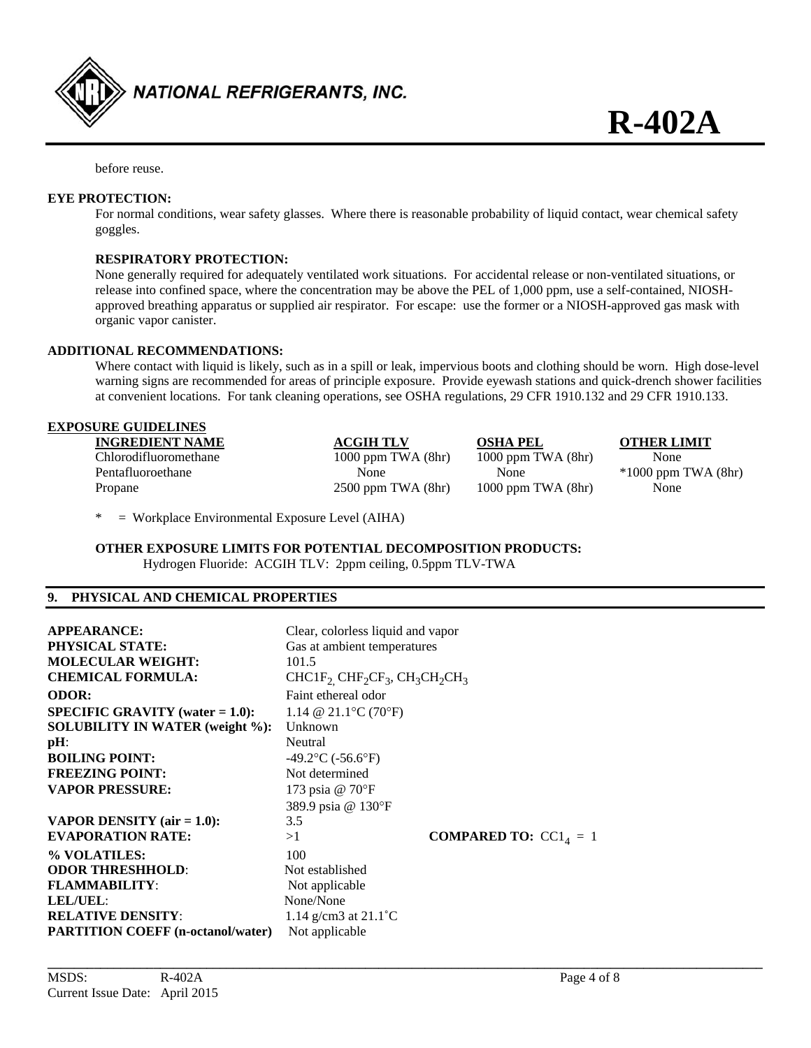

before reuse.

### **EYE PROTECTION:**

 For normal conditions, wear safety glasses. Where there is reasonable probability of liquid contact, wear chemical safety goggles.

# **RESPIRATORY PROTECTION:**

None generally required for adequately ventilated work situations. For accidental release or non-ventilated situations, or release into confined space, where the concentration may be above the PEL of 1,000 ppm, use a self-contained, NIOSH approved breathing apparatus or supplied air respirator. For escape: use the former or a NIOSH-approved gas mask with organic vapor canister.

### **ADDITIONAL RECOMMENDATIONS:**

 Where contact with liquid is likely, such as in a spill or leak, impervious boots and clothing should be worn. High dose-level warning signs are recommended for areas of principle exposure. Provide eyewash stations and quick-drench shower facilities at convenient locations. For tank cleaning operations, see OSHA regulations, 29 CFR 1910.132 and 29 CFR 1910.133.

#### **EXPOSURE GUIDELINES**

|         | <b>INGREDIENT NAME</b> | <b>ACGIH TLV</b>       | <b>OSHA PEL</b>        | <b>OTHER LI</b> |
|---------|------------------------|------------------------|------------------------|-----------------|
|         | Chlorodifluoromethane  | $1000$ ppm TWA $(8hr)$ | $1000$ ppm TWA $(8hr)$ | None            |
|         | Pentafluoroethane      | None                   | None                   | $*1000$ ppm     |
| Propane |                        | $2500$ ppm TWA $(8hr)$ | $1000$ ppm TWA $(8hr)$ | None            |

*OTHER LIMIT*  $*1000$  ppm TWA (8hr)

\* = Workplace Environmental Exposure Level (AIHA)

**OTHER EXPOSURE LIMITS FOR POTENTIAL DECOMPOSITION PRODUCTS:** 

Hydrogen Fluoride: ACGIH TLV: 2ppm ceiling, 0.5ppm TLV-TWA

### **9. PHYSICAL AND CHEMICAL PROPERTIES**

| <b>APPEARANCE:</b><br><b>PHYSICAL STATE:</b><br><b>MOLECULAR WEIGHT:</b><br><b>CHEMICAL FORMULA:</b>                                                                                                                    | Clear, colorless liquid and vapor<br>Gas at ambient temperatures<br>101.5<br>$CHCIF2 CHF2CF3, CH3CH2CH3$                                                   |                                |
|-------------------------------------------------------------------------------------------------------------------------------------------------------------------------------------------------------------------------|------------------------------------------------------------------------------------------------------------------------------------------------------------|--------------------------------|
| <b>ODOR:</b><br><b>SPECIFIC GRAVITY</b> (water $= 1.0$ ):<br><b>SOLUBILITY IN WATER (weight %):</b><br>$pH$ :<br><b>BOILING POINT:</b><br><b>FREEZING POINT:</b><br><b>VAPOR PRESSURE:</b>                              | Faint ethereal odor<br>1.14 @ 21.1 °C (70 °F)<br>Unknown<br>Neutral<br>$-49.2$ °C ( $-56.6$ °F)<br>Not determined<br>173 psia @ 70°F<br>389.9 psia @ 130°F |                                |
| VAPOR DENSITY $(air = 1.0)$ :<br><b>EVAPORATION RATE:</b><br>% VOLATILES:<br><b>ODOR THRESHHOLD:</b><br><b>FLAMMABILITY:</b><br><b>LEL/UEL:</b><br><b>RELATIVE DENSITY:</b><br><b>PARTITION COEFF</b> (n-octanol/water) | 3.5<br>>1<br>100<br>Not established<br>Not applicable<br>None/None<br>1.14 g/cm3 at $21.1^{\circ}$ C<br>Not applicable                                     | <b>COMPARED TO:</b> $CC14 = 1$ |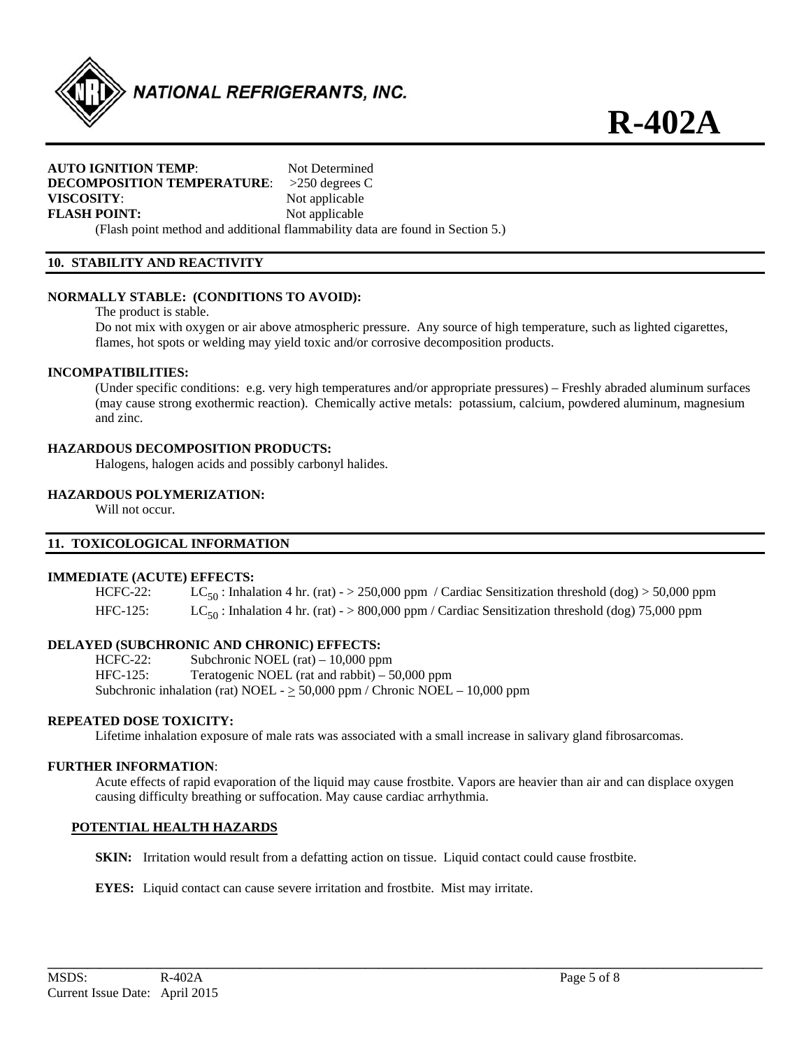

#### **AUTO IGNITION TEMP:** Not Determined **DECOMPOSITION TEMPERATURE**: >250 degrees C **VISCOSITY**: Not applicable **FLASH POINT:** Not applicable

(Flash point method and additional flammability data are found in Section 5.)

# **10. STABILITY AND REACTIVITY**

# **NORMALLY STABLE: (CONDITIONS TO AVOID):**

The product is stable.

 Do not mix with oxygen or air above atmospheric pressure. Any source of high temperature, such as lighted cigarettes, flames, hot spots or welding may yield toxic and/or corrosive decomposition products.

### **INCOMPATIBILITIES:**

 (Under specific conditions: e.g. very high temperatures and/or appropriate pressures) – Freshly abraded aluminum surfaces (may cause strong exothermic reaction). Chemically active metals: potassium, calcium, powdered aluminum, magnesium and zinc.

# **HAZARDOUS DECOMPOSITION PRODUCTS:**

Halogens, halogen acids and possibly carbonyl halides.

# **HAZARDOUS POLYMERIZATION:**

Will not occur.

# **11. TOXICOLOGICAL INFORMATION**

#### **IMMEDIATE (ACUTE) EFFECTS:**

HCFC-22: LC<sub>50</sub>: Inhalation 4 hr. (rat) - > 250,000 ppm / Cardiac Sensitization threshold (dog) > 50,000 ppm HFC-125: LC<sub>50</sub>: Inhalation 4 hr. (rat) - > 800,000 ppm / Cardiac Sensitization threshold (dog) 75,000 ppm

# **DELAYED (SUBCHRONIC AND CHRONIC) EFFECTS:**

HCFC-22: Subchronic NOEL (rat) – 10,000 ppm HFC-125: Teratogenic NOEL (rat and rabbit) – 50,000 ppm Subchronic inhalation (rat) NOEL -  $\geq$  50,000 ppm / Chronic NOEL - 10,000 ppm

#### **REPEATED DOSE TOXICITY:**

Lifetime inhalation exposure of male rats was associated with a small increase in salivary gland fibrosarcomas.

#### **FURTHER INFORMATION**:

Acute effects of rapid evaporation of the liquid may cause frostbite. Vapors are heavier than air and can displace oxygen causing difficulty breathing or suffocation. May cause cardiac arrhythmia.

**\_\_\_\_\_\_\_\_\_\_\_\_\_\_\_\_\_\_\_\_\_\_\_\_\_\_\_\_\_\_\_\_\_\_\_\_\_\_\_\_\_\_\_\_\_\_\_\_\_\_\_\_\_\_\_\_\_\_\_\_\_\_\_\_\_\_\_\_\_\_\_\_\_\_\_\_\_\_\_\_\_\_\_\_\_\_\_\_\_\_\_\_\_\_\_\_\_\_\_\_\_\_\_\_\_\_\_\_** 

#### **POTENTIAL HEALTH HAZARDS**

**SKIN:** Irritation would result from a defatting action on tissue. Liquid contact could cause frostbite.

**EYES:** Liquid contact can cause severe irritation and frostbite. Mist may irritate.

**R-402A**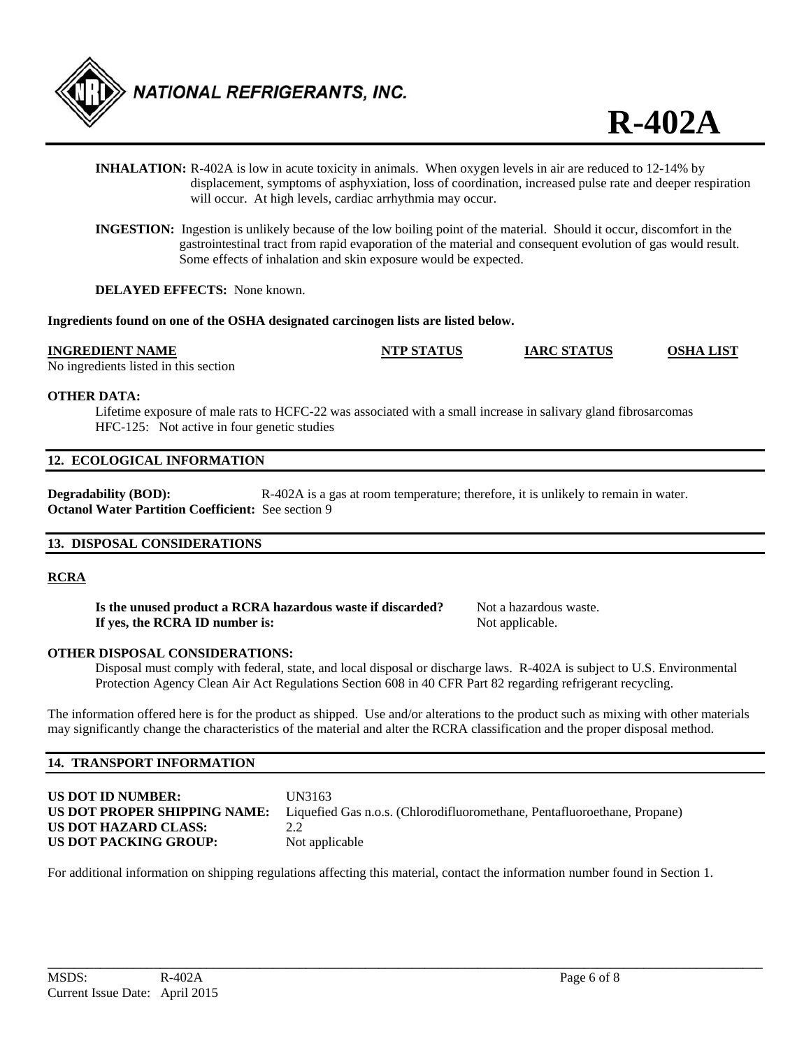

- **INHALATION:** R-402A is low in acute toxicity in animals. When oxygen levels in air are reduced to 12-14% by displacement, symptoms of asphyxiation, loss of coordination, increased pulse rate and deeper respiration will occur. At high levels, cardiac arrhythmia may occur.
- **INGESTION:** Ingestion is unlikely because of the low boiling point of the material. Should it occur, discomfort in the gastrointestinal tract from rapid evaporation of the material and consequent evolution of gas would result. Some effects of inhalation and skin exposure would be expected.

**DELAYED EFFECTS:** None known.

### **Ingredients found on one of the OSHA designated carcinogen lists are listed below.**

### **INGREDIENT NAME NTP STATUS IARC STATUS OSHA LIST**

No ingredients listed in this section

### **OTHER DATA:**

 Lifetime exposure of male rats to HCFC-22 was associated with a small increase in salivary gland fibrosarcomas HFC-125: Not active in four genetic studies

# **12. ECOLOGICAL INFORMATION**

**Degradability (BOD):** R-402A is a gas at room temperature; therefore, it is unlikely to remain in water. **Octanol Water Partition Coefficient:** See section 9

# **13. DISPOSAL CONSIDERATIONS**

# **RCRA**

**Is the unused product a RCRA hazardous waste if discarded?** Not a hazardous waste. **If yes, the RCRA ID number is:** Not applicable.

# **OTHER DISPOSAL CONSIDERATIONS:**

 Disposal must comply with federal, state, and local disposal or discharge laws. R-402A is subject to U.S. Environmental Protection Agency Clean Air Act Regulations Section 608 in 40 CFR Part 82 regarding refrigerant recycling.

The information offered here is for the product as shipped. Use and/or alterations to the product such as mixing with other materials may significantly change the characteristics of the material and alter the RCRA classification and the proper disposal method.

# **14. TRANSPORT INFORMATION**

| <b>US DOT ID NUMBER:</b>     | UN3163                                                                   |
|------------------------------|--------------------------------------------------------------------------|
| US DOT PROPER SHIPPING NAME: | Liquefied Gas n.o.s. (Chlorodifluoromethane, Pentafluoroethane, Propane) |
| US DOT HAZARD CLASS:         | 2.2                                                                      |
| US DOT PACKING GROUP:        | Not applicable                                                           |

For additional information on shipping regulations affecting this material, contact the information number found in Section 1.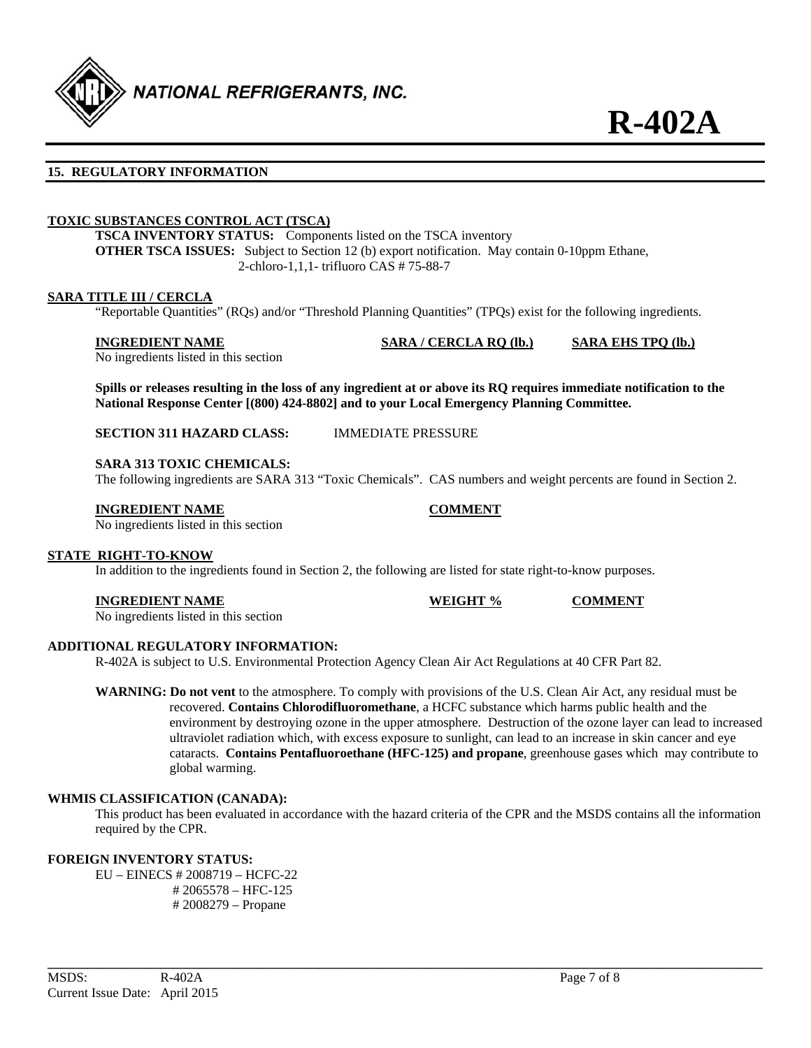

# **15. REGULATORY INFORMATION**

# **TOXIC SUBSTANCES CONTROL ACT (TSCA)**

**TSCA INVENTORY STATUS:** Components listed on the TSCA inventory **OTHER TSCA ISSUES:** Subject to Section 12 (b) export notification. May contain 0-10ppm Ethane, 2-chloro-1,1,1- trifluoro CAS # 75-88-7

#### **SARA TITLE III / CERCLA**

"Reportable Quantities" (RQs) and/or "Threshold Planning Quantities" (TPQs) exist for the following ingredients.

#### **INGREDIENT NAME SARA / CERCLA RQ (lb.) SARA EHS TPQ (lb.)**

No ingredients listed in this section

**Spills or releases resulting in the loss of any ingredient at or above its RQ requires immediate notification to the National Response Center [(800) 424-8802] and to your Local Emergency Planning Committee.** 

**SECTION 311 HAZARD CLASS:** IMMEDIATE PRESSURE

#### **SARA 313 TOXIC CHEMICALS:**

The following ingredients are SARA 313 "Toxic Chemicals". CAS numbers and weight percents are found in Section 2.

#### **INGREDIENT NAME COMMENT**

No ingredients listed in this section

# **STATE RIGHT-TO-KNOW**

In addition to the ingredients found in Section 2, the following are listed for state right-to-know purposes.

#### **INGREDIENT NAME WEIGHT % COMMENT**

No ingredients listed in this section

#### **ADDITIONAL REGULATORY INFORMATION:**

R-402A is subject to U.S. Environmental Protection Agency Clean Air Act Regulations at 40 CFR Part 82.

**WARNING: Do not vent** to the atmosphere. To comply with provisions of the U.S. Clean Air Act, any residual must be recovered. **Contains Chlorodifluoromethane**, a HCFC substance which harms public health and the environment by destroying ozone in the upper atmosphere. Destruction of the ozone layer can lead to increased ultraviolet radiation which, with excess exposure to sunlight, can lead to an increase in skin cancer and eye cataracts. **Contains Pentafluoroethane (HFC-125) and propane**, greenhouse gases which may contribute to global warming.

#### **WHMIS CLASSIFICATION (CANADA):**

 This product has been evaluated in accordance with the hazard criteria of the CPR and the MSDS contains all the information required by the CPR.

**\_\_\_\_\_\_\_\_\_\_\_\_\_\_\_\_\_\_\_\_\_\_\_\_\_\_\_\_\_\_\_\_\_\_\_\_\_\_\_\_\_\_\_\_\_\_\_\_\_\_\_\_\_\_\_\_\_\_\_\_\_\_\_\_\_\_\_\_\_\_\_\_\_\_\_\_\_\_\_\_\_\_\_\_\_\_\_\_\_\_\_\_\_\_\_\_\_\_\_\_\_\_\_\_\_\_\_\_** 

### **FOREIGN INVENTORY STATUS:**

 EU – EINECS # 2008719 – HCFC-22 # 2065578 – HFC-125 # 2008279 – Propane